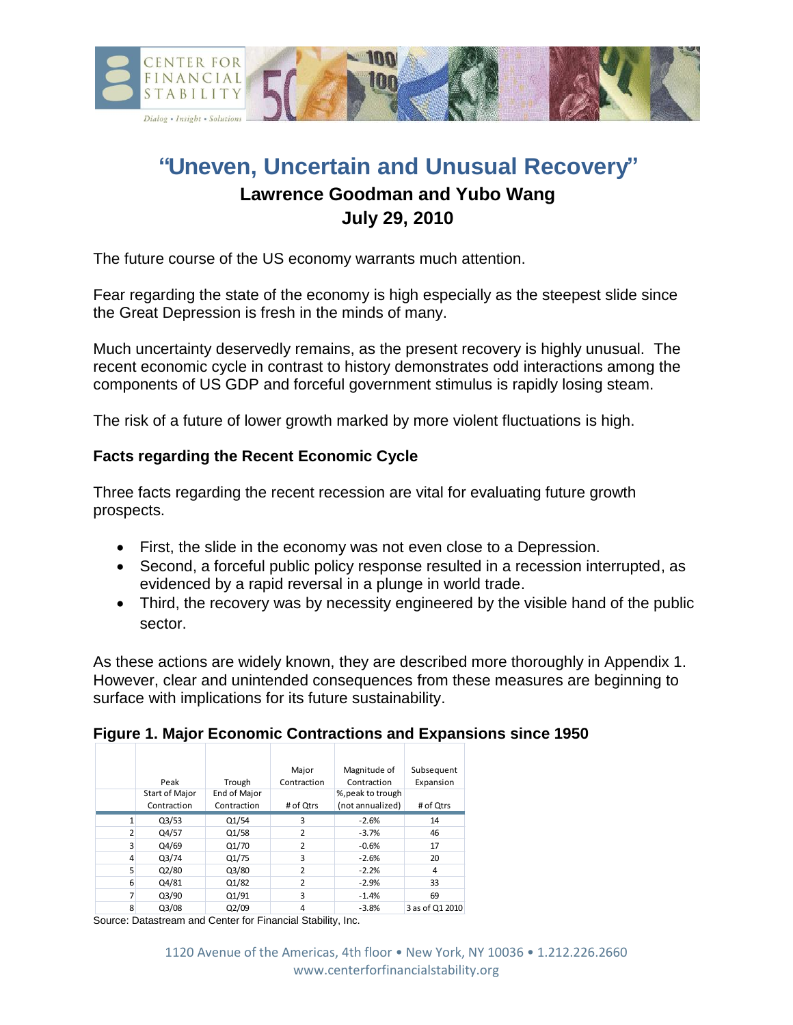

# **"Uneven, Uncertain and Unusual Recovery" Lawrence Goodman and Yubo Wang**

# **July 29, 2010**

The future course of the US economy warrants much attention.

Fear regarding the state of the economy is high especially as the steepest slide since the Great Depression is fresh in the minds of many.

Much uncertainty deservedly remains, as the present recovery is highly unusual. The recent economic cycle in contrast to history demonstrates odd interactions among the components of US GDP and forceful government stimulus is rapidly losing steam.

The risk of a future of lower growth marked by more violent fluctuations is high.

## **Facts regarding the Recent Economic Cycle**

Three facts regarding the recent recession are vital for evaluating future growth prospects.

- First, the slide in the economy was not even close to a Depression.
- Second, a forceful public policy response resulted in a recession interrupted, as evidenced by a rapid reversal in a plunge in world trade.
- Third, the recovery was by necessity engineered by the visible hand of the public sector.

As these actions are widely known, they are described more thoroughly in Appendix 1. However, clear and unintended consequences from these measures are beginning to surface with implications for its future sustainability.

|   |                       |              | Major          | Magnitude of      | Subsequent      |
|---|-----------------------|--------------|----------------|-------------------|-----------------|
|   | Peak                  | Trough       | Contraction    | Contraction       | Expansion       |
|   | <b>Start of Major</b> | End of Major |                | %, peak to trough |                 |
|   | Contraction           | Contraction  | # of Qtrs      | (not annualized)  | # of Qtrs       |
|   | Q3/53                 | Q1/54        | 3              | $-2.6%$           | 14              |
| 2 | Q4/57                 | Q1/58        | 2              | $-3.7%$           | 46              |
| 3 | Q4/69                 | Q1/70        | $\overline{2}$ | $-0.6%$           | 17              |
| 4 | Q3/74                 | Q1/75        | 3              | $-2.6%$           | 20              |
| 5 | Q2/80                 | Q3/80        | 2              | $-2.2%$           | 4               |
| 6 | Q4/81                 | Q1/82        | $\overline{2}$ | $-2.9%$           | 33              |
| 7 | Q3/90                 | Q1/91        | 3              | $-1.4%$           | 69              |
| 8 | Q3/08                 | Q2/09        | 4              | $-3.8%$           | 3 as of Q1 2010 |

## **Figure 1. Major Economic Contractions and Expansions since 1950**

Source: Datastream and Center for Financial Stability, Inc.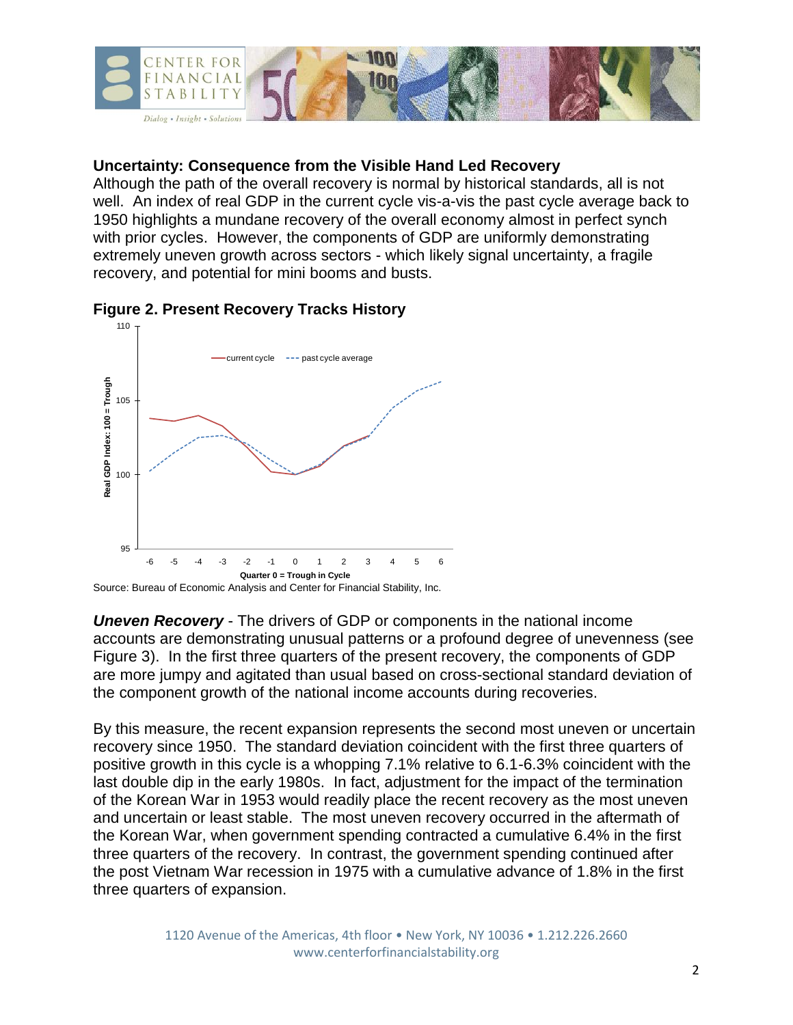

#### **Uncertainty: Consequence from the Visible Hand Led Recovery**

Although the path of the overall recovery is normal by historical standards, all is not well. An index of real GDP in the current cycle vis-a-vis the past cycle average back to 1950 highlights a mundane recovery of the overall economy almost in perfect synch with prior cycles. However, the components of GDP are uniformly demonstrating extremely uneven growth across sectors - which likely signal uncertainty, a fragile recovery, and potential for mini booms and busts.



#### **Figure 2. Present Recovery Tracks History**

*Uneven Recovery* - The drivers of GDP or components in the national income accounts are demonstrating unusual patterns or a profound degree of unevenness (see Figure 3). In the first three quarters of the present recovery, the components of GDP are more jumpy and agitated than usual based on cross-sectional standard deviation of the component growth of the national income accounts during recoveries.

By this measure, the recent expansion represents the second most uneven or uncertain recovery since 1950. The standard deviation coincident with the first three quarters of positive growth in this cycle is a whopping 7.1% relative to 6.1-6.3% coincident with the last double dip in the early 1980s. In fact, adjustment for the impact of the termination of the Korean War in 1953 would readily place the recent recovery as the most uneven and uncertain or least stable. The most uneven recovery occurred in the aftermath of the Korean War, when government spending contracted a cumulative 6.4% in the first three quarters of the recovery. In contrast, the government spending continued after the post Vietnam War recession in 1975 with a cumulative advance of 1.8% in the first three quarters of expansion.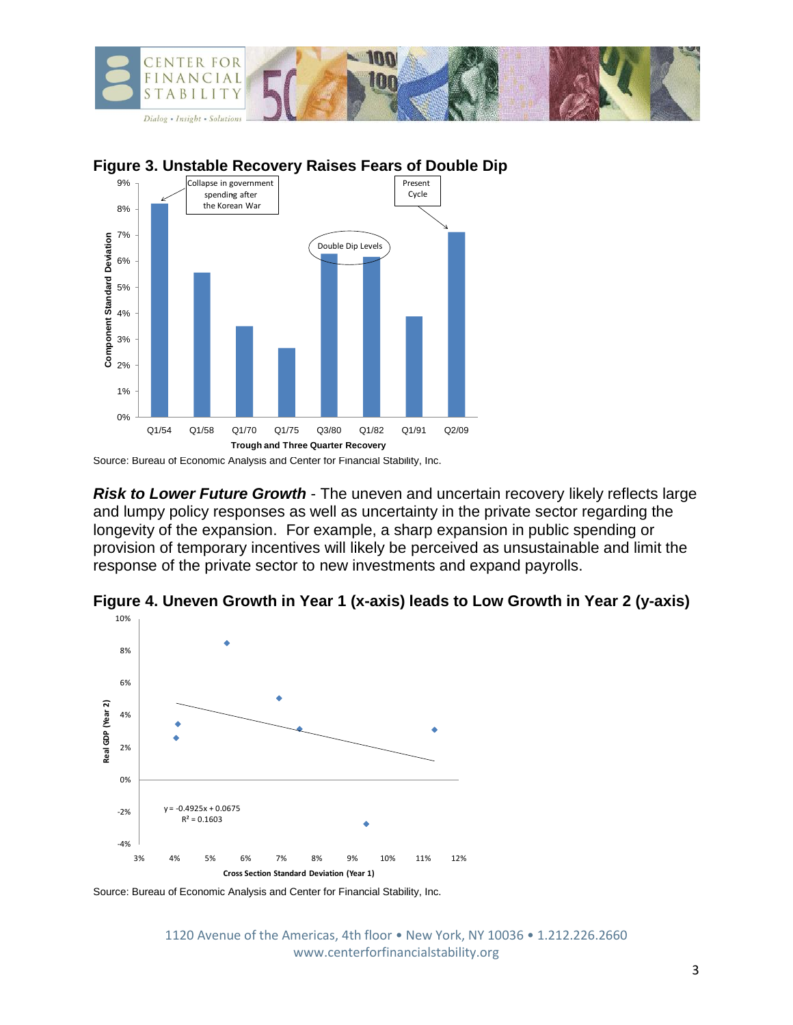



**Figure 3. Unstable Recovery Raises Fears of Double Dip**

*Risk to Lower Future Growth* - The uneven and uncertain recovery likely reflects large and lumpy policy responses as well as uncertainty in the private sector regarding the longevity of the expansion. For example, a sharp expansion in public spending or provision of temporary incentives will likely be perceived as unsustainable and limit the response of the private sector to new investments and expand payrolls.





Source: Bureau of Economic Analysis and Center for Financial Stability, Inc.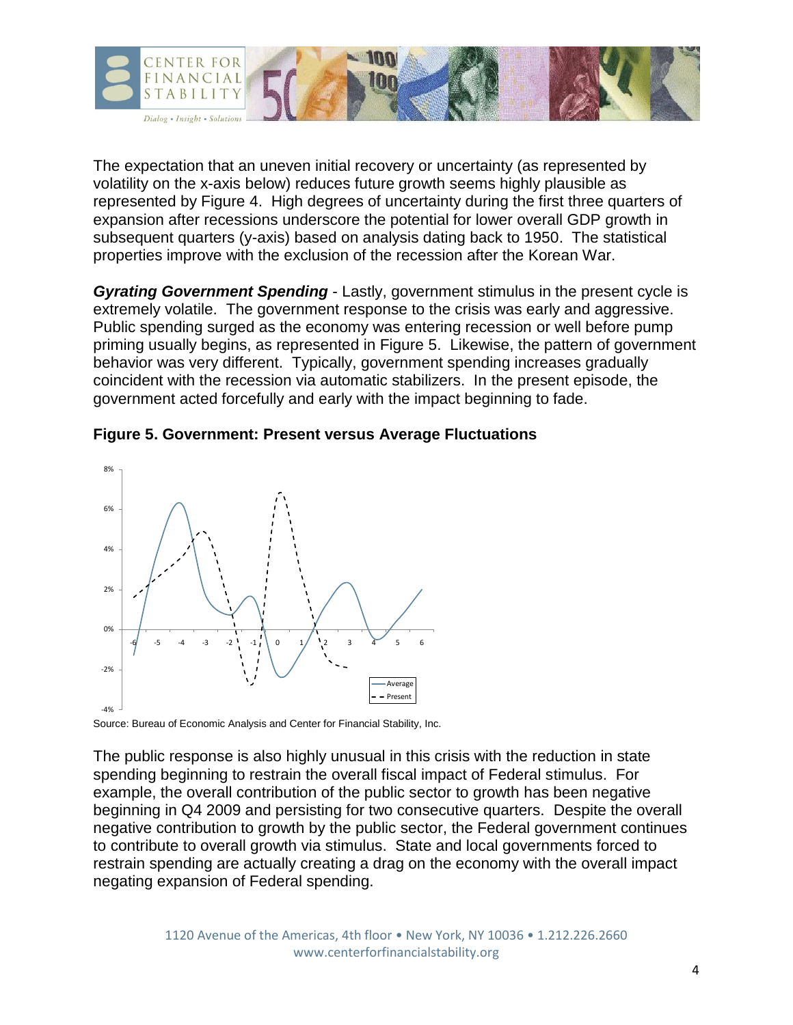

The expectation that an uneven initial recovery or uncertainty (as represented by volatility on the x-axis below) reduces future growth seems highly plausible as represented by Figure 4. High degrees of uncertainty during the first three quarters of expansion after recessions underscore the potential for lower overall GDP growth in subsequent quarters (y-axis) based on analysis dating back to 1950. The statistical properties improve with the exclusion of the recession after the Korean War.

*Gyrating Government Spending* - Lastly, government stimulus in the present cycle is extremely volatile. The government response to the crisis was early and aggressive. Public spending surged as the economy was entering recession or well before pump priming usually begins, as represented in Figure 5. Likewise, the pattern of government behavior was very different. Typically, government spending increases gradually coincident with the recession via automatic stabilizers. In the present episode, the government acted forcefully and early with the impact beginning to fade.



#### **Figure 5. Government: Present versus Average Fluctuations**

Source: Bureau of Economic Analysis and Center for Financial Stability, Inc.

The public response is also highly unusual in this crisis with the reduction in state spending beginning to restrain the overall fiscal impact of Federal stimulus. For example, the overall contribution of the public sector to growth has been negative beginning in Q4 2009 and persisting for two consecutive quarters. Despite the overall negative contribution to growth by the public sector, the Federal government continues to contribute to overall growth via stimulus. State and local governments forced to restrain spending are actually creating a drag on the economy with the overall impact negating expansion of Federal spending.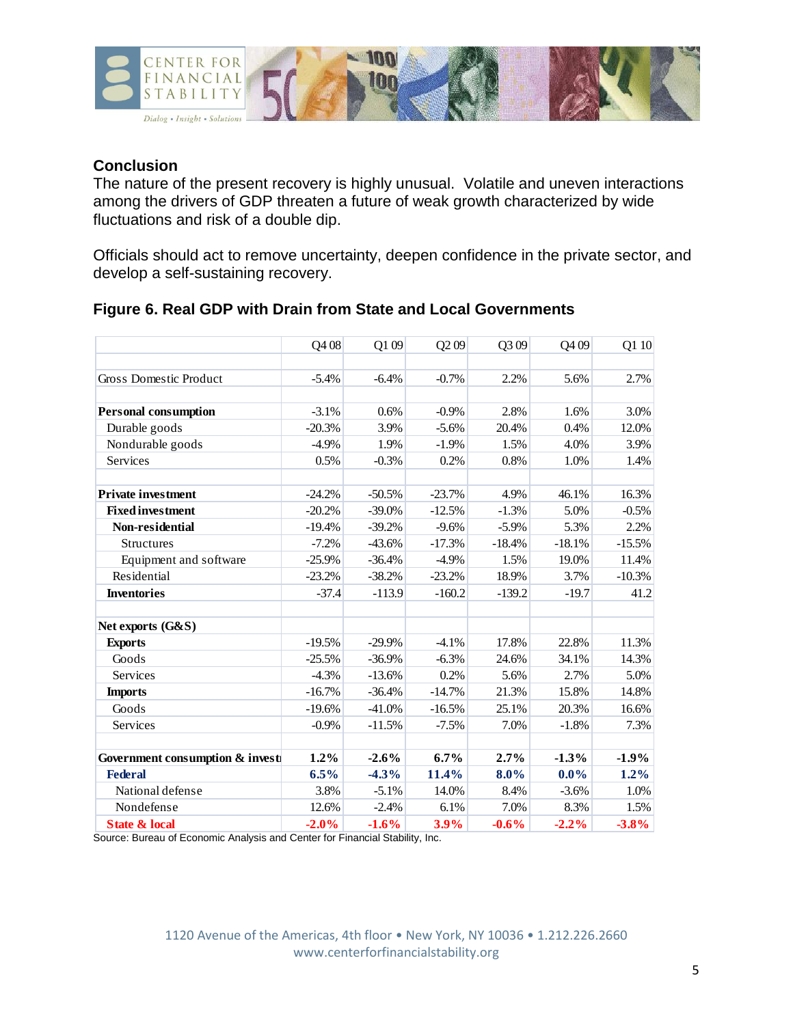

#### **Conclusion**

The nature of the present recovery is highly unusual. Volatile and uneven interactions among the drivers of GDP threaten a future of weak growth characterized by wide fluctuations and risk of a double dip.

Officials should act to remove uncertainty, deepen confidence in the private sector, and develop a self-sustaining recovery.

|  |  |  | Figure 6. Real GDP with Drain from State and Local Governments |
|--|--|--|----------------------------------------------------------------|
|  |  |  |                                                                |

| 2.2%<br>Gross Domestic Product<br>$-6.4%$<br>$-0.7%$<br>5.6%<br>$-5.4%$<br>2.7%<br>2.8%<br><b>Personal consumption</b><br>$-3.1%$<br>0.6%<br>$-0.9%$<br>1.6%<br>Durable goods<br>3.9%<br>$-20.3%$<br>$-5.6%$<br>20.4%<br>0.4%<br>Nondurable goods<br>1.9%<br>$-4.9%$<br>$-1.9%$<br>1.5%<br>4.0%<br>Services<br>0.8%<br>0.5%<br>$-0.3%$<br>0.2%<br>1.0%<br><b>Private investment</b><br>$-24.2%$<br>$-23.7%$<br>4.9%<br>46.1%<br>16.3%<br>$-50.5%$<br><b>Fixed investment</b><br>$-20.2%$<br>$-1.3%$<br>5.0%<br>$-39.0%$<br>$-12.5%$<br>Non-residential<br>5.3%<br>$-19.4%$<br>$-39.2%$<br>$-9.6%$<br>$-5.9\%$<br>$-7.2%$<br>$-43.6%$<br>$-18.4%$<br>$-18.1%$<br>Structures<br>$-17.3%$<br>Equipment and software<br>19.0%<br>$-25.9%$<br>$-36.4%$<br>$-4.9%$<br>1.5%<br>Residential<br>3.7%<br>$-23.2%$<br>$-38.2%$<br>$-23.2%$<br>18.9%<br>$-139.2$<br>$-160.2$<br>$-19.7$<br><b>Inventories</b><br>$-37.4$<br>$-113.9$<br>Net exports (G&S)<br>$-4.1%$<br>17.8%<br>22.8%<br><b>Exports</b><br>$-19.5%$<br>$-29.9%$<br>Goods<br>$-6.3%$<br>34.1%<br>$-25.5%$<br>$-36.9%$<br>24.6%<br>Services<br>$-4.3%$<br>$-13.6%$<br>0.2%<br>5.6%<br>2.7%<br>21.3%<br>15.8%<br>$-16.7%$<br>$-36.4%$<br>$-14.7%$<br><b>Imports</b><br>Goods<br>$-19.6%$<br>$-41.0%$<br>$-16.5%$<br>25.1%<br>20.3%<br>Services<br>$-0.9%$<br>7.0%<br>$-1.8%$<br>$-11.5%$<br>$-7.5%$<br>1.2%<br>$-2.6%$<br>6.7%<br>2.7%<br>$-1.3%$<br>$-1.9%$<br>Government consumption & invest<br>6.5%<br>11.4%<br>$0.0\%$<br>$1.2\%$<br><b>Federal</b><br>$-4.3%$<br>8.0%<br>National defense<br>3.8%<br>$-5.1%$<br>14.0%<br>8.4%<br>$-3.6%$ |            | Q408  | Q109    | Q <sub>2</sub> 09 | Q309 | Q409 | Q1 10 |
|--------------------------------------------------------------------------------------------------------------------------------------------------------------------------------------------------------------------------------------------------------------------------------------------------------------------------------------------------------------------------------------------------------------------------------------------------------------------------------------------------------------------------------------------------------------------------------------------------------------------------------------------------------------------------------------------------------------------------------------------------------------------------------------------------------------------------------------------------------------------------------------------------------------------------------------------------------------------------------------------------------------------------------------------------------------------------------------------------------------------------------------------------------------------------------------------------------------------------------------------------------------------------------------------------------------------------------------------------------------------------------------------------------------------------------------------------------------------------------------------------------------------------------------------------------------------------------------------------|------------|-------|---------|-------------------|------|------|-------|
|                                                                                                                                                                                                                                                                                                                                                                                                                                                                                                                                                                                                                                                                                                                                                                                                                                                                                                                                                                                                                                                                                                                                                                                                                                                                                                                                                                                                                                                                                                                                                                                                  |            |       |         |                   |      |      |       |
|                                                                                                                                                                                                                                                                                                                                                                                                                                                                                                                                                                                                                                                                                                                                                                                                                                                                                                                                                                                                                                                                                                                                                                                                                                                                                                                                                                                                                                                                                                                                                                                                  |            |       |         |                   |      |      |       |
| 3.0%<br>12.0%<br>3.9%<br>1.4%<br>$-0.5%$<br>2.2%<br>$-15.5%$<br>11.4%<br>$-10.3%$<br>41.2<br>11.3%<br>14.3%<br>5.0%<br>14.8%<br>16.6%<br>7.3%<br>1.0%                                                                                                                                                                                                                                                                                                                                                                                                                                                                                                                                                                                                                                                                                                                                                                                                                                                                                                                                                                                                                                                                                                                                                                                                                                                                                                                                                                                                                                            |            |       |         |                   |      |      |       |
|                                                                                                                                                                                                                                                                                                                                                                                                                                                                                                                                                                                                                                                                                                                                                                                                                                                                                                                                                                                                                                                                                                                                                                                                                                                                                                                                                                                                                                                                                                                                                                                                  |            |       |         |                   |      |      |       |
|                                                                                                                                                                                                                                                                                                                                                                                                                                                                                                                                                                                                                                                                                                                                                                                                                                                                                                                                                                                                                                                                                                                                                                                                                                                                                                                                                                                                                                                                                                                                                                                                  |            |       |         |                   |      |      |       |
|                                                                                                                                                                                                                                                                                                                                                                                                                                                                                                                                                                                                                                                                                                                                                                                                                                                                                                                                                                                                                                                                                                                                                                                                                                                                                                                                                                                                                                                                                                                                                                                                  |            |       |         |                   |      |      |       |
|                                                                                                                                                                                                                                                                                                                                                                                                                                                                                                                                                                                                                                                                                                                                                                                                                                                                                                                                                                                                                                                                                                                                                                                                                                                                                                                                                                                                                                                                                                                                                                                                  |            |       |         |                   |      |      |       |
|                                                                                                                                                                                                                                                                                                                                                                                                                                                                                                                                                                                                                                                                                                                                                                                                                                                                                                                                                                                                                                                                                                                                                                                                                                                                                                                                                                                                                                                                                                                                                                                                  |            |       |         |                   |      |      |       |
|                                                                                                                                                                                                                                                                                                                                                                                                                                                                                                                                                                                                                                                                                                                                                                                                                                                                                                                                                                                                                                                                                                                                                                                                                                                                                                                                                                                                                                                                                                                                                                                                  |            |       |         |                   |      |      |       |
|                                                                                                                                                                                                                                                                                                                                                                                                                                                                                                                                                                                                                                                                                                                                                                                                                                                                                                                                                                                                                                                                                                                                                                                                                                                                                                                                                                                                                                                                                                                                                                                                  |            |       |         |                   |      |      |       |
|                                                                                                                                                                                                                                                                                                                                                                                                                                                                                                                                                                                                                                                                                                                                                                                                                                                                                                                                                                                                                                                                                                                                                                                                                                                                                                                                                                                                                                                                                                                                                                                                  |            |       |         |                   |      |      |       |
|                                                                                                                                                                                                                                                                                                                                                                                                                                                                                                                                                                                                                                                                                                                                                                                                                                                                                                                                                                                                                                                                                                                                                                                                                                                                                                                                                                                                                                                                                                                                                                                                  |            |       |         |                   |      |      |       |
|                                                                                                                                                                                                                                                                                                                                                                                                                                                                                                                                                                                                                                                                                                                                                                                                                                                                                                                                                                                                                                                                                                                                                                                                                                                                                                                                                                                                                                                                                                                                                                                                  |            |       |         |                   |      |      |       |
|                                                                                                                                                                                                                                                                                                                                                                                                                                                                                                                                                                                                                                                                                                                                                                                                                                                                                                                                                                                                                                                                                                                                                                                                                                                                                                                                                                                                                                                                                                                                                                                                  |            |       |         |                   |      |      |       |
|                                                                                                                                                                                                                                                                                                                                                                                                                                                                                                                                                                                                                                                                                                                                                                                                                                                                                                                                                                                                                                                                                                                                                                                                                                                                                                                                                                                                                                                                                                                                                                                                  |            |       |         |                   |      |      |       |
|                                                                                                                                                                                                                                                                                                                                                                                                                                                                                                                                                                                                                                                                                                                                                                                                                                                                                                                                                                                                                                                                                                                                                                                                                                                                                                                                                                                                                                                                                                                                                                                                  |            |       |         |                   |      |      |       |
|                                                                                                                                                                                                                                                                                                                                                                                                                                                                                                                                                                                                                                                                                                                                                                                                                                                                                                                                                                                                                                                                                                                                                                                                                                                                                                                                                                                                                                                                                                                                                                                                  |            |       |         |                   |      |      |       |
|                                                                                                                                                                                                                                                                                                                                                                                                                                                                                                                                                                                                                                                                                                                                                                                                                                                                                                                                                                                                                                                                                                                                                                                                                                                                                                                                                                                                                                                                                                                                                                                                  |            |       |         |                   |      |      |       |
|                                                                                                                                                                                                                                                                                                                                                                                                                                                                                                                                                                                                                                                                                                                                                                                                                                                                                                                                                                                                                                                                                                                                                                                                                                                                                                                                                                                                                                                                                                                                                                                                  |            |       |         |                   |      |      |       |
|                                                                                                                                                                                                                                                                                                                                                                                                                                                                                                                                                                                                                                                                                                                                                                                                                                                                                                                                                                                                                                                                                                                                                                                                                                                                                                                                                                                                                                                                                                                                                                                                  |            |       |         |                   |      |      |       |
|                                                                                                                                                                                                                                                                                                                                                                                                                                                                                                                                                                                                                                                                                                                                                                                                                                                                                                                                                                                                                                                                                                                                                                                                                                                                                                                                                                                                                                                                                                                                                                                                  |            |       |         |                   |      |      |       |
|                                                                                                                                                                                                                                                                                                                                                                                                                                                                                                                                                                                                                                                                                                                                                                                                                                                                                                                                                                                                                                                                                                                                                                                                                                                                                                                                                                                                                                                                                                                                                                                                  |            |       |         |                   |      |      |       |
|                                                                                                                                                                                                                                                                                                                                                                                                                                                                                                                                                                                                                                                                                                                                                                                                                                                                                                                                                                                                                                                                                                                                                                                                                                                                                                                                                                                                                                                                                                                                                                                                  |            |       |         |                   |      |      |       |
|                                                                                                                                                                                                                                                                                                                                                                                                                                                                                                                                                                                                                                                                                                                                                                                                                                                                                                                                                                                                                                                                                                                                                                                                                                                                                                                                                                                                                                                                                                                                                                                                  |            |       |         |                   |      |      |       |
|                                                                                                                                                                                                                                                                                                                                                                                                                                                                                                                                                                                                                                                                                                                                                                                                                                                                                                                                                                                                                                                                                                                                                                                                                                                                                                                                                                                                                                                                                                                                                                                                  | Nondefense | 12.6% | $-2.4%$ | 6.1%              | 7.0% | 8.3% | 1.5%  |
| <b>State &amp; local</b><br>$-2.0%$<br>3.9%<br>$-0.6%$<br>$-3.8\%$<br>$-1.6%$<br>$-2.2%$                                                                                                                                                                                                                                                                                                                                                                                                                                                                                                                                                                                                                                                                                                                                                                                                                                                                                                                                                                                                                                                                                                                                                                                                                                                                                                                                                                                                                                                                                                         |            |       |         |                   |      |      |       |

Source: Bureau of Economic Analysis and Center for Financial Stability, Inc.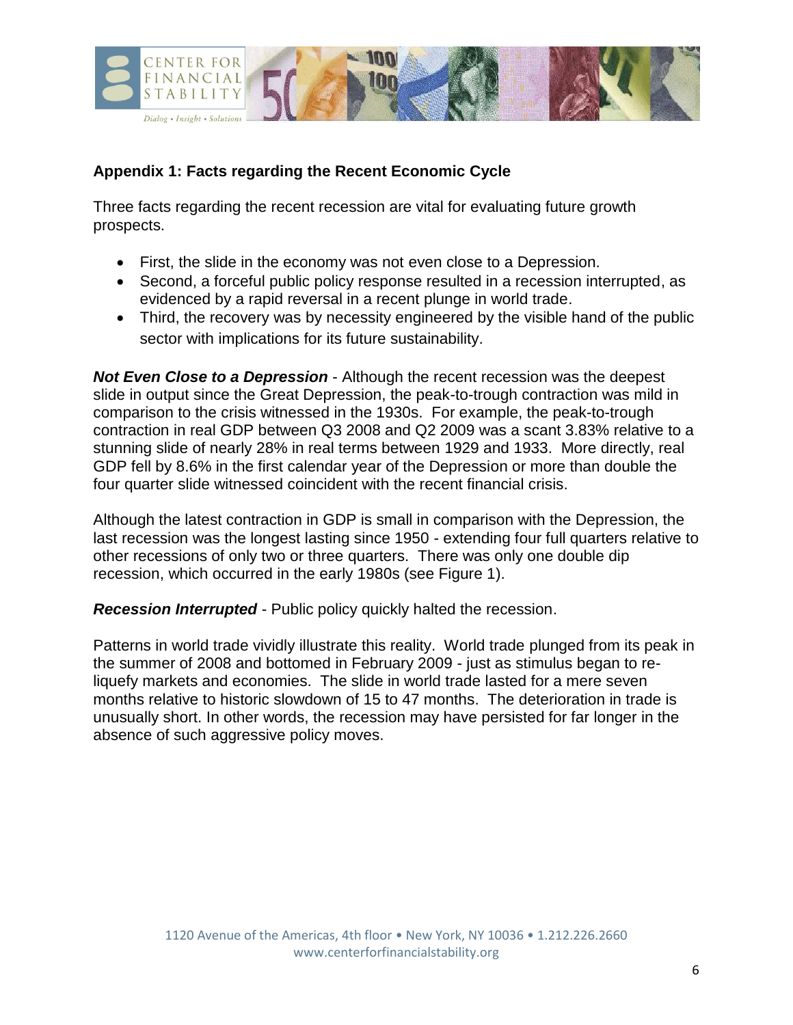

# **Appendix 1: Facts regarding the Recent Economic Cycle**

Three facts regarding the recent recession are vital for evaluating future growth prospects.

- First, the slide in the economy was not even close to a Depression.
- Second, a forceful public policy response resulted in a recession interrupted, as evidenced by a rapid reversal in a recent plunge in world trade.
- Third, the recovery was by necessity engineered by the visible hand of the public sector with implications for its future sustainability.

*Not Even Close to a Depression* - Although the recent recession was the deepest slide in output since the Great Depression, the peak-to-trough contraction was mild in comparison to the crisis witnessed in the 1930s. For example, the peak-to-trough contraction in real GDP between Q3 2008 and Q2 2009 was a scant 3.83% relative to a stunning slide of nearly 28% in real terms between 1929 and 1933. More directly, real GDP fell by 8.6% in the first calendar year of the Depression or more than double the four quarter slide witnessed coincident with the recent financial crisis.

Although the latest contraction in GDP is small in comparison with the Depression, the last recession was the longest lasting since 1950 - extending four full quarters relative to other recessions of only two or three quarters. There was only one double dip recession, which occurred in the early 1980s (see Figure 1).

*Recession Interrupted* - Public policy quickly halted the recession.

Patterns in world trade vividly illustrate this reality. World trade plunged from its peak in the summer of 2008 and bottomed in February 2009 - just as stimulus began to reliquefy markets and economies. The slide in world trade lasted for a mere seven months relative to historic slowdown of 15 to 47 months. The deterioration in trade is unusually short. In other words, the recession may have persisted for far longer in the absence of such aggressive policy moves.